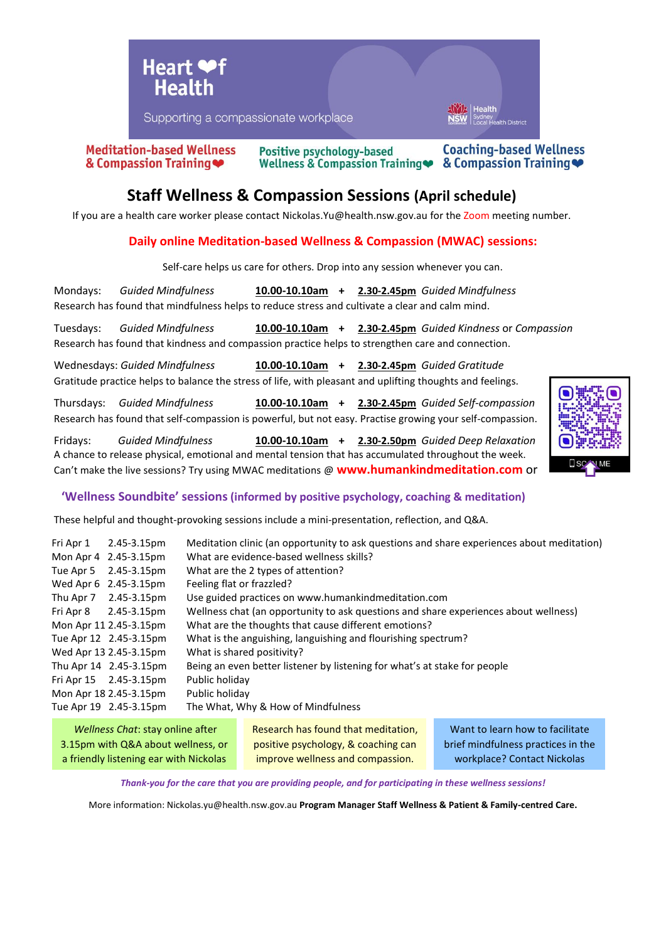

**Coaching-based Wellness Meditation-based Wellness Positive psychology-based** & Compassion Training Wellness & Compassion Training ● & Compassion Training

# **Staff Wellness & Compassion Sessions (April schedule)**

If you are a health care worker please contact Nickolas.Yu@health.nsw.gov.au for the Zoom meeting number.

### **Daily online Meditation-based Wellness & Compassion (MWAC) sessions:**

Self-care helps us care for others. Drop into any session whenever you can.

Mondays: *Guided Mindfulness* **10.00-10.10am + 2.30-2.45pm** *Guided Mindfulness* Research has found that mindfulness helps to reduce stress and cultivate a clear and calm mind.

Tuesdays: *Guided Mindfulness* **10.00-10.10am + 2.30-2.45pm** *Guided Kindness* or *Compassion*  Research has found that kindness and compassion practice helps to strengthen care and connection.

Wednesdays: *Guided Mindfulness* **10.00-10.10am + 2.30-2.45pm** *Guided Gratitude*  Gratitude practice helps to balance the stress of life, with pleasant and uplifting thoughts and feelings.

Thursdays: *Guided Mindfulness* **10.00-10.10am + 2.30-2.45pm** *Guided Self-compassion*  Research has found that self-compassion is powerful, but not easy. Practise growing your self-compassion.

Fridays: *Guided Mindfulness* **10.00-10.10am + 2.30-2.50pm** *Guided Deep Relaxation*  A chance to release physical, emotional and mental tension that has accumulated throughout the week. Can't make the live sessions? Try using MWAC meditations @ **www.humankindmeditation.com** or



#### **'Wellness Soundbite' sessions (informed by positive psychology, coaching & meditation)**

These helpful and thought-provoking sessions include a mini-presentation, reflection, and Q&A.

| Fri Apr 1 | 2.45-3.15pm            | Meditation clinic (an opportunity to ask questions and share experiences about meditation) |
|-----------|------------------------|--------------------------------------------------------------------------------------------|
|           | Mon Apr 4 2.45-3.15pm  | What are evidence-based wellness skills?                                                   |
| Tue Apr 5 | 2.45-3.15pm            | What are the 2 types of attention?                                                         |
|           | Wed Apr 6 2.45-3.15pm  | Feeling flat or frazzled?                                                                  |
| Thu Apr 7 | 2.45-3.15pm            | Use guided practices on www.humankindmeditation.com                                        |
|           | Fri Apr 8 2.45-3.15pm  | Wellness chat (an opportunity to ask questions and share experiences about wellness)       |
|           | Mon Apr 11 2.45-3.15pm | What are the thoughts that cause different emotions?                                       |
|           | Tue Apr 12 2.45-3.15pm | What is the anguishing, languishing and flourishing spectrum?                              |
|           | Wed Apr 13 2.45-3.15pm | What is shared positivity?                                                                 |
|           | Thu Apr 14 2.45-3.15pm | Being an even better listener by listening for what's at stake for people                  |
|           | Fri Apr 15 2.45-3.15pm | Public holiday                                                                             |
|           | Mon Apr 18 2.45-3.15pm | Public holiday                                                                             |
|           | Tue Apr 19 2.45-3.15pm | The What, Why & How of Mindfulness                                                         |
|           |                        |                                                                                            |

| Wellness Chat: stay online after       | Research has found that meditation, | Want to learn how to facilitate    |
|----------------------------------------|-------------------------------------|------------------------------------|
| 3.15pm with Q&A about wellness, or     | positive psychology, & coaching can | brief mindfulness practices in the |
| a friendly listening ear with Nickolas | improve wellness and compassion.    | workplace? Contact Nickolas        |

*Thank-you for the care that you are providing people, and for participating in these wellness sessions!*

More information: Nickolas.yu@health.nsw.gov.au **Program Manager Staff Wellness & Patient & Family-centred Care.**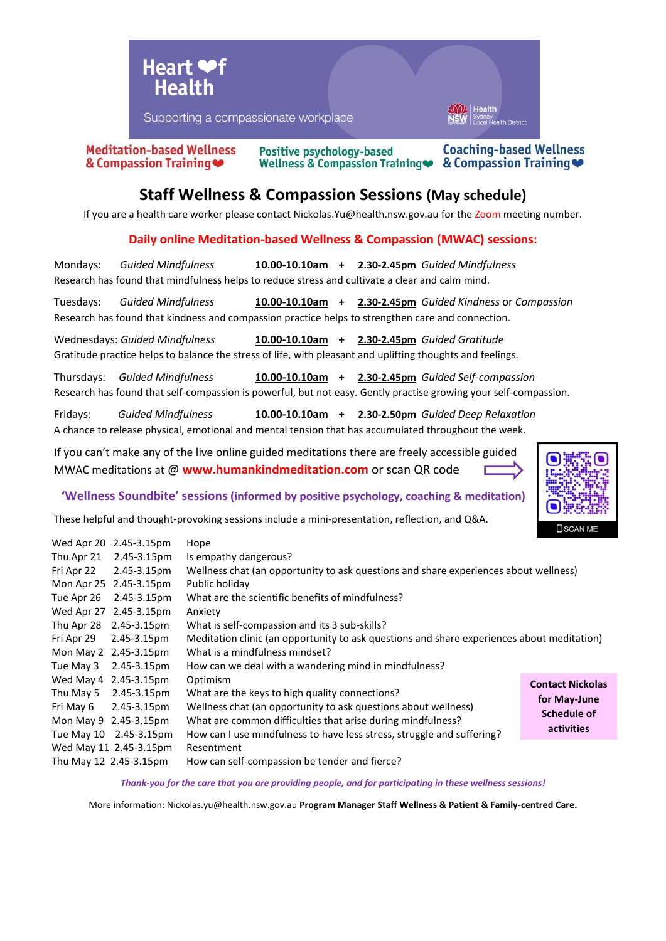

Supporting a compassionate workplace

**Meditation-based Wellness** & Compassion Training

Positive psychology-based Wellness & Compassion Training ●

**Coaching-based Wellness** & Compassion Training

th Dictric

## **Staff Wellness & Compassion Sessions (May schedule)**

If you are a health care worker please contact Nickolas. Yu@health.nsw.gov.au for the Zoom meeting number.

### **Daily online Meditation-based Wellness & Compassion (MWAC) sessions:**

Mondays: *Guided Mindfulness* **10.00-10.10am + 2.30-2.45pm** *Guided Mindfulness* Research has found that mindfulness helps to reduce stress and cultivate a clear and calm mind.

Tuesdays: *Guided Mindfulness* **10.00-10.10am + 2.30-2.45pm** *Guided Kindness* or *Compassion*  Research has found that kindness and compassion practice helps to strengthen care and connection.

Wednesdays: *Guided Mindfulness* **10.00-10.10am + 2.30-2.45pm** *Guided Gratitude*  Gratitude practice helps to balance the stress of life, with pleasant and uplifting thoughts and feelings.

Thursdays: *Guided Mindfulness* **10.00-10.10am + 2.30-2.45pm** *Guided Self-compassion*  Research has found that self-compassion is powerful, but not easy. Gently practise growing your self-compassion.

Fridays: *Guided Mindfulness* **10.00-10.10am + 2.30-2.50pm** *Guided Deep Relaxation* A chance to release physical, emotional and mental tension that has accumulated throughout the week.

If you can't make any of the live online guided meditations there are freely accessible guided MWAC meditations at @ **www.humankindmeditation.com** or scan QR code



**'Wellness Soundbite' sessions (informed by positive psychology, coaching & meditation)**

These helpful and thought-provoking sessions include a mini-presentation, reflection, and Q&A.

| Wed Apr 20                                                              | 2.45-3.15pm            | Hope                                                                                       |                         |  |
|-------------------------------------------------------------------------|------------------------|--------------------------------------------------------------------------------------------|-------------------------|--|
| Thu Apr 21                                                              | 2.45-3.15pm            | Is empathy dangerous?                                                                      |                         |  |
| Fri Apr 22                                                              | 2.45-3.15pm            | Wellness chat (an opportunity to ask questions and share experiences about wellness)       |                         |  |
| Mon Apr 25                                                              | 2.45-3.15pm            | Public holiday                                                                             |                         |  |
| Tue Apr 26                                                              | 2.45-3.15pm            | What are the scientific benefits of mindfulness?                                           |                         |  |
|                                                                         | Wed Apr 27 2.45-3.15pm | Anxiety                                                                                    |                         |  |
| Thu Apr 28                                                              | 2.45-3.15pm            | What is self-compassion and its 3 sub-skills?                                              |                         |  |
| Fri Apr 29                                                              | 2.45-3.15pm            | Meditation clinic (an opportunity to ask questions and share experiences about meditation) |                         |  |
|                                                                         | Mon May 2 2.45-3.15pm  | What is a mindfulness mindset?                                                             |                         |  |
| Tue May 3                                                               | 2.45-3.15pm            | How can we deal with a wandering mind in mindfulness?                                      |                         |  |
|                                                                         | Wed May 4 2.45-3.15pm  | Optimism                                                                                   | <b>Contact Nickolas</b> |  |
| Thu May 5                                                               | 2.45-3.15pm            | What are the keys to high quality connections?                                             | for May-June            |  |
| Fri May 6                                                               | 2.45-3.15pm            | Wellness chat (an opportunity to ask questions about wellness)                             | Schedule of             |  |
|                                                                         | Mon May 9 2.45-3.15pm  | What are common difficulties that arise during mindfulness?                                |                         |  |
|                                                                         | Tue May 10 2.45-3.15pm | How can I use mindfulness to have less stress, struggle and suffering?                     | <b>activities</b>       |  |
|                                                                         | Wed May 11 2.45-3.15pm | Resentment                                                                                 |                         |  |
| How can self-compassion be tender and fierce?<br>Thu May 12 2.45-3.15pm |                        |                                                                                            |                         |  |

*Thank-you for the care that you are providing people, and for participating in these wellness sessions!*

More information: Nickolas.yu@health.nsw.gov.au **Program Manager Staff Wellness & Patient & Family-centred Care.**